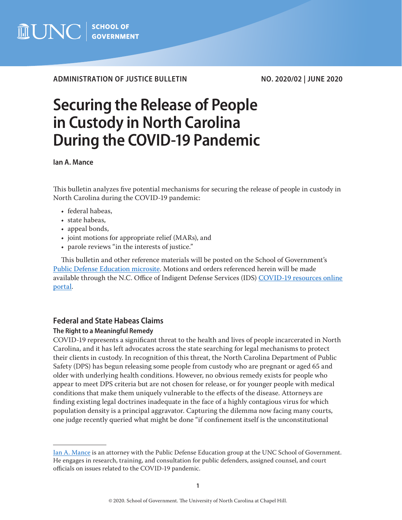

**ADMINISTRATION OF JUSTICE BULLETIN NO. 2020/02 | JUNE 2020**

# **Securing the Release of People in Custody in North Carolina During the COVID-19 Pandemic**

**Ian A. Mance**

This bulletin analyzes five potential mechanisms for securing the release of people in custody in North Carolina during the COVID-19 pandemic:

- federal habeas,
- state habeas,
- appeal bonds,
- joint motions for appropriate relief (MARs), and
- parole reviews "in the interests of justice."

This bulletin and other reference materials will be posted on the School of Government's [Public Defense Education microsite](https://www.sog.unc.edu/resources/microsites/indigent-defense-education). Motions and orders referenced herein will be made available through the N.C. Office of Indigent Defense Services (IDS) COVID-19 resources online [portal](http://www.ncids.org/Covid19.html).

## **Federal and State Habeas Claims**

### **The Right to a Meaningful Remedy**

COVID-19 represents a significant threat to the health and lives of people incarcerated in North Carolina, and it has left advocates across the state searching for legal mechanisms to protect their clients in custody. In recognition of this threat, the North Carolina Department of Public Safety (DPS) has begun releasing some people from custody who are pregnant or aged 65 and older with underlying health conditions. However, no obvious remedy exists for people who appear to meet DPS criteria but are not chosen for release, or for younger people with medical conditions that make them uniquely vulnerable to the effects of the disease. Attorneys are finding existing legal doctrines inadequate in the face of a highly contagious virus for which population density is a principal aggravator. Capturing the dilemma now facing many courts, one judge recently queried what might be done "if confinement itself is the unconstitutional

[Ian A. Mance](https://www.sog.unc.edu/about/faculty-and-staff/ian-mance) is an attorney with the Public Defense Education group at the UNC School of Government. He engages in research, training, and consultation for public defenders, assigned counsel, and court officials on issues related to the COVID-19 pandemic.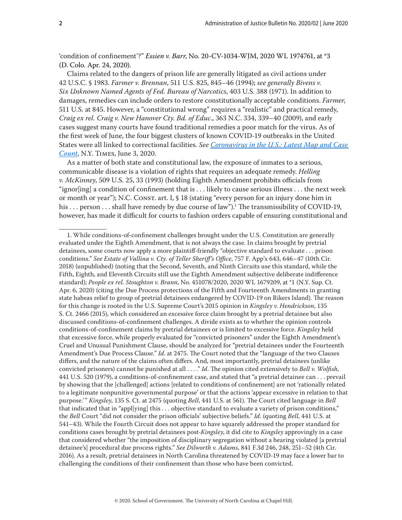'condition of confinement'?" *Essien v. Barr*, No. 20-CV-1034-WJM, 2020 WL 1974761, at \*3 (D. Colo. Apr. 24, 2020).

Claims related to the dangers of prison life are generally litigated as civil actions under 42 U.S.C. § 1983. *Farmer v. Brennan*, 511 U.S. 825, 845–46 (1994); *see generally Bivens v. Six Unknown Named Agents of Fed. Bureau of Narcotics*, 403 U.S. 388 (1971). In addition to damages, remedies can include orders to restore constitutionally acceptable conditions. *Farmer*, 511 U.S. at 845. However, a "constitutional wrong" requires a "realistic" and practical remedy, *Craig ex rel. Craig v. New Hanover Cty. Bd. of Educ*., 363 N.C. 334, 339–40 (2009), and early cases suggest many courts have found traditional remedies a poor match for the virus. As of the first week of June, the four biggest clusters of known COVID-19 outbreaks in the United States were all linked to correctional facilities. *See [Coronavirus in the U.S.: Latest Map and Case](https://www.nytimes.com/interactive/2020/us/coronavirus-us-cases.html)  [Count](https://www.nytimes.com/interactive/2020/us/coronavirus-us-cases.html)*, N.Y. Times, June 3, 2020.

As a matter of both state and constitutional law, the exposure of inmates to a serious, communicable disease is a violation of rights that requires an adequate remedy. *Helling v. McKinney*, 509 U.S. 25, 33 (1993) (holding Eighth Amendment prohibits officials from "ignor[ing] a condition of confinement that is  $\dots$  likely to cause serious illness  $\dots$  the next week or month or year"); N.C. Const. art. I, § 18 (stating "every person for an injury done him in his  $\ldots$  person  $\ldots$  shall have remedy by due course of law"). $^1$  The transmissibility of COVID-19, however, has made it difficult for courts to fashion orders capable of ensuring constitutional and

<sup>1.</sup> While conditions-of-confinement challenges brought under the U.S. Constitution are generally evaluated under the Eighth Amendment, that is not always the case. In claims brought by pretrial detainees, some courts now apply a more plaintiff-friendly "objective standard to evaluate . . . prison conditions." *See Estate of Vallina v. Cty. of Teller Sheriff's Office*, 757 F. App'x 643, 646–47 (10th Cir. 2018) (unpublished) (noting that the Second, Seventh, and Ninth Circuits use this standard, while the Fifth, Eighth, and Eleventh Circuits still use the Eighth Amendment subjective deliberate indifference standard); *People ex rel. Stoughton v. Brann*, No. 451078/2020, 2020 WL 1679209, at \*1 (N.Y. Sup. Ct. Apr. 6, 2020) (citing the Due Process protections of the Fifth and Fourteenth Amendments in granting state habeas relief to group of pretrial detainees endangered by COVID-19 on Rikers Island). The reason for this change is rooted in the U.S. Supreme Court's 2015 opinion in *Kingsley v. Hendrickson*, 135 S. Ct. 2466 (2015), which considered an excessive force claim brought by a pretrial detainee but also discussed conditions-of-confinement challenges. A divide exists as to whether the opinion controls conditions-of-confinement claims by pretrial detainees or is limited to excessive force. *Kingsley* held that excessive force, while properly evaluated for "convicted prisoners" under the Eighth Amendment's Cruel and Unusual Punishment Clause, should be analyzed for "pretrial detainees under the Fourteenth Amendment's Due Process Clause." *Id*. at 2475. The Court noted that the "language of the two Clauses differs, and the nature of the claims often differs. And, most importantly, pretrial detainees (unlike convicted prisoners) cannot be punished at all . . . ." *Id*. The opinion cited extensively to *Bell v. Wolfish*, 441 U.S. 520 (1979), a conditions-of-confinement case, and stated that "a pretrial detainee can . . . prevail by showing that the [challenged] actions [related to conditions of confinement] are not 'rationally related to a legitimate nonpunitive governmental purpose' or that the actions 'appear excessive in relation to that purpose.'" *Kingsley*, 135 S. Ct. at 2475 (quoting *Bell*, 441 U.S. at 561). The Court cited language in *Bell* that indicated that in "appl[ying] this . . . objective standard to evaluate a variety of prison conditions," the *Bell* Court "did not consider the prison officials' subjective beliefs." *Id*. (quoting *Bell*, 441 U.S. at 541–43). While the Fourth Circuit does not appear to have squarely addressed the proper standard for conditions cases brought by pretrial detainees post-*Kingsley*, it did cite to *Kingsley* approvingly in a case that considered whether "the imposition of disciplinary segregation without a hearing violated [a pretrial detainee's] procedural due process rights." *See Dilworth v. Adams*, 841 F.3d 246, 248, 251–52 (4th Cir. 2016). As a result, pretrial detainees in North Carolina threatened by COVID-19 may face a lower bar to challenging the conditions of their confinement than those who have been convicted.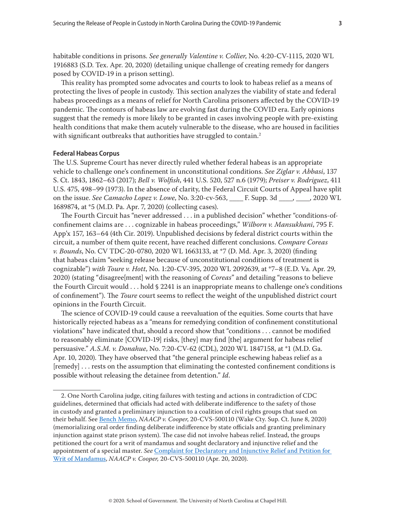<span id="page-2-0"></span>habitable conditions in prisons. *See generally Valentine v. Collier*, No. 4:20-CV-1115, 2020 WL 1916883 (S.D. Tex. Apr. 20, 2020) (detailing unique challenge of creating remedy for dangers posed by COVID-19 in a prison setting).

This reality has prompted some advocates and courts to look to habeas relief as a means of protecting the lives of people in custody. This section analyzes the viability of state and federal habeas proceedings as a means of relief for North Carolina prisoners affected by the COVID-19 pandemic. The contours of habeas law are evolving fast during the COVID era. Early opinions suggest that the remedy is more likely to be granted in cases involving people with pre-existing health conditions that make them acutely vulnerable to the disease, who are housed in facilities with significant outbreaks that authorities have struggled to contain.<sup>2</sup>

#### **Federal Habeas Corpus**

The U.S. Supreme Court has never directly ruled whether federal habeas is an appropriate vehicle to challenge one's confinement in unconstitutional conditions. *See Ziglar v. Abbasi*, 137 S. Ct. 1843, 1862–63 (2017); *Bell v. Wolfish*, 441 U.S. 520, 527 n.6 (1979); *Preiser v. Rodriguez*, 411 U.S. 475, 498–99 (1973). In the absence of clarity, the Federal Circuit Courts of Appeal have split on the issue. *See Camacho Lopez v. Lowe*, No. 3:20-cv-563, \_\_\_\_ F. Supp. 3d \_\_\_\_, \_\_\_\_, 2020 WL 1689874, at \*5 (M.D. Pa. Apr. 7, 2020) (collecting cases).

The Fourth Circuit has "never addressed . . . in a published decision" whether "conditions-ofconfinement claims are . . . cognizable in habeas proceedings," *Wilborn v. Mansukhani*, 795 F. App'x 157, 163–64 (4th Cir. 2019). Unpublished decisions by federal district courts within the circuit, a number of them quite recent, have reached different conclusions. *Compare Coreas v. Bounds*, No. CV TDC-20-0780, 2020 WL 1663133, at \*7 (D. Md. Apr. 3, 2020) (finding that habeas claim "seeking release because of unconstitutional conditions of treatment is cognizable") *with Toure v. Hott*, No. 1:20-CV-395, 2020 WL 2092639, at \*7–8 (E.D. Va. Apr. 29, 2020) (stating "disagree[ment] with the reasoning of *Coreas*" and detailing "reasons to believe the Fourth Circuit would . . . hold § 2241 is an inappropriate means to challenge one's conditions of confinement"). The *Toure* court seems to reflect the weight of the unpublished district court opinions in the Fourth Circuit.

The science of COVID-19 could cause a reevaluation of the equities. Some courts that have historically rejected habeas as a "means for remedying condition of confinement constitutional violations" have indicated that, should a record show that "conditions . . . cannot be modified to reasonably eliminate [COVID-19] risks, [they] may find [the] argument for habeas relief persuasive." *A.S.M. v. Donahue*, No. 7:20-CV-62 (CDL), 2020 WL 1847158, at \*1 (M.D. Ga. Apr. 10, 2020). They have observed that "the general principle eschewing habeas relief as a [remedy] . . . rests on the assumption that eliminating the contested confinement conditions is possible without releasing the detainee from detention." *Id*.

<sup>2.</sup> One North Carolina judge, citing failures with testing and actions in contradiction of CDC guidelines, determined that officials had acted with deliberate indifference to the safety of those in custody and granted a preliminary injunction to a coalition of civil rights groups that sued on their behalf. See [Bench Memo](https://assets.documentcloud.org/documents/6939878/6-8-2020-NAACP-v-COOPER-BENCH-MEMO.pdf), *NAACP v. Cooper*, 20-CVS-500110 (Wake Cty. Sup. Ct. June 8, 2020) (memorializing oral order finding deliberate indifference by state officials and granting preliminary injunction against state prison system). The case did not involve habeas relief. Instead, the groups petitioned the court for a writ of mandamus and sought declaratory and injunctive relief and the appointment of a special master. *See* [Complaint for Declaratory and Injunctive Relief and Petition for](https://www.acluofnorthcarolina.org/sites/default/files/2020.04.20_nc_naacp_v._cooper_ii_compl.pdf)  [Writ of Mandamus](https://www.acluofnorthcarolina.org/sites/default/files/2020.04.20_nc_naacp_v._cooper_ii_compl.pdf), *NAACP v. Cooper,* 20-CVS-500110 (Apr. 20, 2020).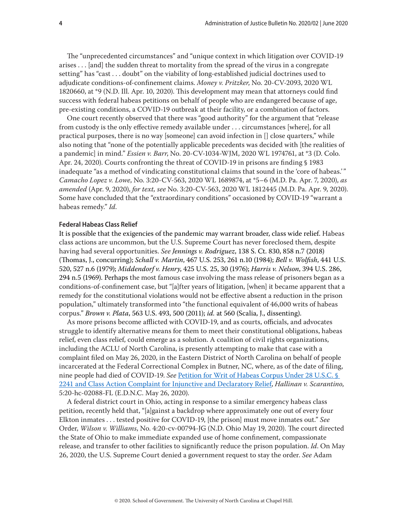<span id="page-3-0"></span>The "unprecedented circumstances" and "unique context in which litigation over COVID-19 arises . . . [and] the sudden threat to mortality from the spread of the virus in a congregate setting" has "cast . . . doubt" on the viability of long-established judicial doctrines used to adjudicate conditions-of-confinement claims. *Money v. Pritzker*, No. 20-CV-2093, 2020 WL 1820660, at \*9 (N.D. Ill. Apr. 10, 2020). This development may mean that attorneys could find success with federal habeas petitions on behalf of people who are endangered because of age, pre-existing conditions, a COVID-19 outbreak at their facility, or a combination of factors.

One court recently observed that there was "good authority" for the argument that "release from custody is the only effective remedy available under . . . circumstances [where], for all practical purposes, there is no way [someone] can avoid infection in [] close quarters," while also noting that "none of the potentially applicable precedents was decided with [the realities of a pandemic] in mind." *Essien v. Barr*, No. 20-CV-1034-WJM, 2020 WL 1974761, at \*3 (D. Colo. Apr. 24, 2020). Courts confronting the threat of COVID-19 in prisons are finding § 1983 inadequate "as a method of vindicating constitutional claims that sound in the 'core of habeas.'" *Camacho Lopez v. Lowe*, No. 3:20-CV-563, 2020 WL 1689874, at \*5–6 (M.D. Pa. Apr. 7, 2020), *as amended* (Apr. 9, 2020), *for text, see* No. 3:20-CV-563, 2020 WL 1812445 (M.D. Pa. Apr. 9, 2020). Some have concluded that the "extraordinary conditions" occasioned by COVID-19 "warrant a habeas remedy." *Id*.

#### **Federal Habeas Class Relief**

It is possible that the exigencies of the pandemic may warrant broader, class wide relief. Habeas class actions are uncommon, but the U.S. Supreme Court has never foreclosed them, despite having had several opportunities. *See Jennings v. Rodriguez*, 138 S. Ct. 830, 858 n.7 (2018) (Thomas, J., concurring); *Schall v. Martin*, 467 U.S. 253, 261 n.10 (1984); *Bell v. Wolfish*, 441 U.S. 520, 527 n.6 (1979); *Middendorf v. Henry*, 425 U.S. 25, 30 (1976); *Harris v. Nelson*, 394 U.S. 286, 294 n.5 (1969). Perhaps the most famous case involving the mass release of prisoners began as a conditions-of-confinement case, but "[a]fter years of litigation, [when] it became apparent that a remedy for the constitutional violations would not be effective absent a reduction in the prison population," ultimately transformed into "the functional equivalent of 46,000 writs of habeas corpus." *Brown v. Plata*, 563 U.S. 493, 500 (2011); *id.* at 560 (Scalia, J., dissenting).

As more prisons become afflicted with COVID-19, and as courts, officials, and advocates struggle to identify alternative means for them to meet their constitutional obligations, habeas relief, even class relief, could emerge as a solution. A coalition of civil rights organizations, including the ACLU of North Carolina, is presently attempting to make that case with a complaint filed on May 26, 2020, in the Eastern District of North Carolina on behalf of people incarcerated at the Federal Correctional Complex in Butner, NC, where, as of the date of filing, nine people had died of COVID-19. *See* [Petition for Writ of Habeas Corpus Under 28 U.S.C. §](https://www.clearinghouse.net/chDocs/public/PC-NC-0020-0001.pdf)  [2241 and Class Action Complaint for Injunctive and Declaratory Relief,](https://www.clearinghouse.net/chDocs/public/PC-NC-0020-0001.pdf) *Hallinan v. Scarantino*, 5:20-hc-02088-FL (E.D.N.C. May 26, 2020).

A federal district court in Ohio, acting in response to a similar emergency habeas class petition, recently held that, "[a]gainst a backdrop where approximately one out of every four Elkton inmates . . . tested positive for COVID-19, [the prison] must move inmates out." *See* Order, *Wilson v. Williams*, No. 4:20-cv-00794-JG (N.D. Ohio May 19, 2020). The court directed the State of Ohio to make immediate expanded use of home confinement, compassionate release, and transfer to other facilities to significantly reduce the prison population. *Id*. On May 26, 2020, the U.S. Supreme Court denied a government request to stay the order. *See* Adam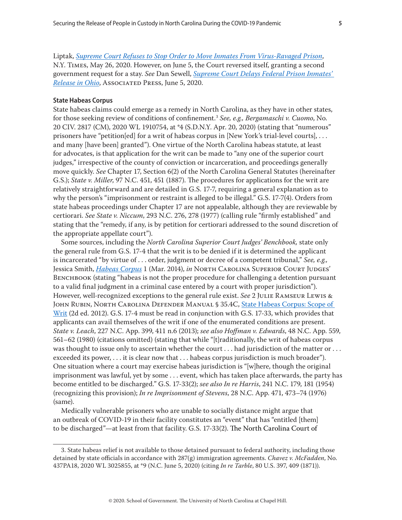<span id="page-4-0"></span>Liptak, *[Supreme Court Refuses to Stop Order to Move Inmates From Virus-Ravaged Prison](https://www.nytimes.com/2020/05/26/us/politics/supreme-court-virus-inmates.html)*, N.Y. Times, May 26, 2020. However, on June 5, the Court reversed itself, granting a second government request for a stay. *See* Dan Sewell, *[Supreme Court Delays Federal Prison Inmates'](https://apnews.com/52350d78f038a0cc0f5e104ec08b0623)  [Release in Ohio](https://apnews.com/52350d78f038a0cc0f5e104ec08b0623)*, Associated Press, June 5, 2020.

#### **State Habeas Corpus**

State habeas claims could emerge as a remedy in North Carolina, as they have in other states, for those seeking review of conditions of confinement.3 *See, e.g., Bergamaschi v. Cuomo*, No. 20 CIV. 2817 (CM), 2020 WL 1910754, at \*4 (S.D.N.Y. Apr. 20, 2020) (stating that "numerous" prisoners have "petition[ed] for a writ of habeas corpus in [New York's trial-level courts], . . . and many [have been] granted"). One virtue of the North Carolina habeas statute, at least for advocates, is that application for the writ can be made to "any one of the superior court judges," irrespective of the county of conviction or incarceration, and proceedings generally move quickly. *See* Chapter 17, Section 6(2) of the North Carolina General Statutes (hereinafter G.S.); *State v. Miller*, 97 N.C. 451, 451 (1887). The procedures for applications for the writ are relatively straightforward and are detailed in G.S. 17-7, requiring a general explanation as to why the person's "imprisonment or restraint is alleged to be illegal." G.S. 17-7(4). Orders from state habeas proceedings under Chapter 17 are not appealable, although they are reviewable by certiorari. *See State v. Niccum*, 293 N.C. 276, 278 (1977) (calling rule "firmly established" and stating that the "remedy, if any, is by petition for certiorari addressed to the sound discretion of the appropriate appellate court").

Some sources, including the *North Carolina Superior Court Judges' Benchbook,* state only the general rule from G.S. 17-4 that the writ is to be denied if it is determined the applicant is incarcerated "by virtue of . . . order, judgment or decree of a competent tribunal," *See, e.g.,* Jessica Smith, *[Habeas Corpus](https://benchbook.sog.unc.edu/criminal/habeas-corpus)* 1 (Mar. 2014), *in* North Carolina Superior Court Judges' BENCHBOOK (stating "habeas is not the proper procedure for challenging a detention pursuant to a valid final judgment in a criminal case entered by a court with proper jurisdiction"). However, well-recognized exceptions to the general rule exist. *See* 2 Julie Ramseur Lewis & John Rubin, North Carolina Defender Manual § 35.4C, [State Habeas Corpus: Scope of](https://defendermanuals.sog.unc.edu/trial/354-state-habeas-corpus)  [Writ](https://defendermanuals.sog.unc.edu/trial/354-state-habeas-corpus) (2d ed. 2012). G.S. 17-4 must be read in conjunction with G.S. 17-33, which provides that applicants can avail themselves of the writ if one of the enumerated conditions are present. *State v. Leach*, 227 N.C. App. 399, 411 n.6 (2013); *see also Hoffman v. Edwards*, 48 N.C. App. 559, 561–62 (1980) (citations omitted) (stating that while "[t]raditionally, the writ of habeas corpus was thought to issue only to ascertain whether the court . . . had jurisdiction of the matter or . . . exceeded its power, . . . it is clear now that . . . habeas corpus jurisdiction is much broader"). One situation where a court may exercise habeas jurisdiction is "[w]here, though the original imprisonment was lawful, yet by some . . . event, which has taken place afterwards, the party has become entitled to be discharged." G.S. 17-33(2); *see also In re Harris*, 241 N.C. 179, 181 (1954) (recognizing this provision); *In re Imprisonment of Stevens*, 28 N.C. App. 471, 473–74 (1976) (same).

Medically vulnerable prisoners who are unable to socially distance might argue that an outbreak of COVID-19 in their facility constitutes an "event" that has "entitled [them] to be discharged"—at least from that facility. G.S. 17-33(2). The North Carolina Court of

<sup>3.</sup> State habeas relief is not available to those detained pursuant to federal authority, including those detained by state officials in accordance with 287(g) immigration agreements. *Chavez v. McFadden*, No. 437PA18, 2020 WL 3025855, at \*9 (N.C. June 5, 2020) (citing *In re Tarble*, 80 U.S. 397, 409 (1871)).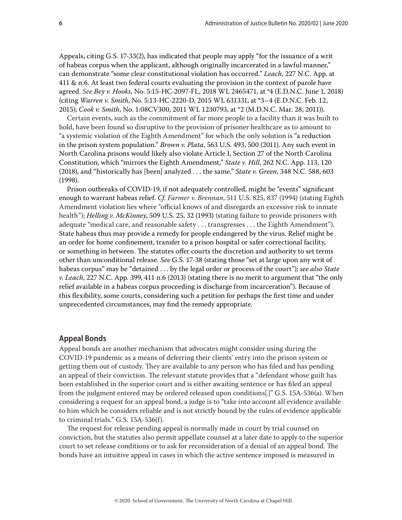<span id="page-5-0"></span>Appeals, citing G.S. 17-33(2), has indicated that people may apply "for the issuance of a writ of habeas corpus when the applicant, although originally incarcerated in a lawful manner," can demonstrate "some clear constitutional violation has occurred." *Leach*, 227 N.C. App. at 411 & n.6. At least two federal courts evaluating the provision in the context of parole have agreed. *See Bey v. Hooks*, No. 5:15-HC-2097-FL, 2018 WL 2465471, at \*4 (E.D.N.C. June 1, 2018) (citing *Warren v. Smith*, No. 5:13-HC-2220-D, 2015 WL 631331, at \*3–4 (E.D.N.C. Feb. 12, 2015); *Cook v. Smith*, No. 1:08CV300, 2011 WL 1230793, at \*2 (M.D.N.C. Mar. 28, 2011)).

Certain events, such as the commitment of far more people to a facility than it was built to hold, have been found so disruptive to the provision of prisoner healthcare as to amount to "a systemic violation of the Eighth Amendment" for which the only solution is "a reduction in the prison system population." *Brown v. Plata*, 563 U.S. 493, 500 (2011). Any such event in North Carolina prisons would likely also violate Article I, Section 27 of the North Carolina Constitution, which "mirrors the Eighth Amendment," *State v. Hill*, 262 N.C. App. 113, 120 (2018), and "historically has [been] analyzed . . . the same." *State v. Green*, 348 N.C. 588, 603 (1998).

Prison outbreaks of COVID-19, if not adequately controlled, might be "events" significant enough to warrant habeas relief. *Cf. Farmer v. Brennan*, 511 U.S. 825, 837 (1994) (stating Eighth Amendment violation lies where "official knows of and disregards an excessive risk to inmate health"); *Helling v. McKinney*, 509 U.S. 25, 32 (1993) (stating failure to provide prisoners with adequate "medical care, and reasonable safety . . . transgresses . . . the Eighth Amendment"). State habeas thus may provide a remedy for people endangered by the virus. Relief might be an order for home confinement, transfer to a prison hospital or safer correctional facility, or something in between. The statutes offer courts the discretion and authority to set terms other than unconditional release. *See* G.S. 17-38 (stating those "set at large upon any writ of habeas corpus" may be "detained . . . by the legal order or process of the court"); *see also State v. Leach*, 227 N.C. App. 399, 411 n.6 (2013) (stating there is no merit to argument that "the only relief available in a habeas corpus proceeding is discharge from incarceration"). Because of this flexibility, some courts, considering such a petition for perhaps the first time and under unprecedented circumstances, may find the remedy appropriate.

## **Appeal Bonds**

Appeal bonds are another mechanism that advocates might consider using during the COVID-19 pandemic as a means of deferring their clients' entry into the prison system or getting them out of custody. They are available to any person who has filed and has pending an appeal of their conviction. The relevant statute provides that a "defendant whose guilt has been established in the superior court and is either awaiting sentence or has filed an appeal from the judgment entered may be ordered released upon conditions[.]" G.S. 15A-536(a). When considering a request for an appeal bond, a judge is to "take into account all evidence available to him which he considers reliable and is not strictly bound by the rules of evidence applicable to criminal trials." G.S. 15A-536(f).

The request for release pending appeal is normally made in court by trial counsel on conviction, but the statutes also permit appellate counsel at a later date to apply to the superior court to set release conditions or to ask for reconsideration of a denial of an appeal bond. The bonds have an intuitive appeal in cases in which the active sentence imposed is measured in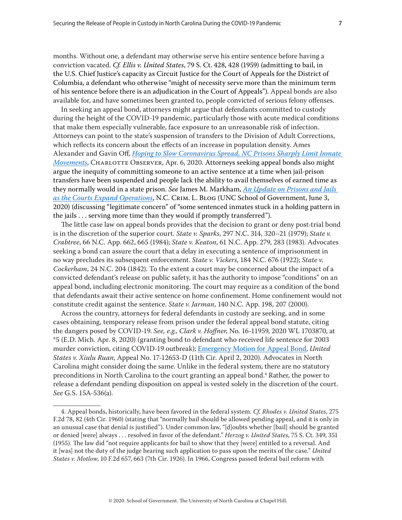months. Without one, a defendant may otherwise serve his entire sentence before having a conviction vacated. *Cf. Ellis v. United States*, 79 S. Ct. 428, 428 (1959) (admitting to bail, in the U.S. Chief Justice's capacity as Circuit Justice for the Court of Appeals for the District of Columbia, a defendant who otherwise "might of necessity serve more than the minimum term of his sentence before there is an adjudication in the Court of Appeals"). Appeal bonds are also available for, and have sometimes been granted to, people convicted of serious felony offenses.

In seeking an appeal bond, attorneys might argue that defendants committed to custody during the height of the COVID-19 pandemic, particularly those with acute medical conditions that make them especially vulnerable, face exposure to an unreasonable risk of infection. Attorneys can point to the state's suspension of transfers to the Division of Adult Corrections, which reflects its concern about the effects of an increase in population density. Ames Alexander and Gavin Off, *[Hoping to Slow Coronavirus Spread, NC Prisons Sharply Limit Inmate](https://www.charlotteobserver.com/news/local/article241804281.html)  [Movements](https://www.charlotteobserver.com/news/local/article241804281.html)*, Charlotte Observer, Apr. 6, 2020. Attorneys seeking appeal bonds also might argue the inequity of committing someone to an active sentence at a time when jail-prison transfers have been suspended and people lack the ability to avail themselves of earned time as they normally would in a state prison. *See* James M. Markham, *[An Update on Prisons and Jails](https://nccriminallaw.sog.unc.edu/an-update-on-prisons-and-jails-as-the-courts-expand-operations/)  [as the Courts Expand Operations](https://nccriminallaw.sog.unc.edu/an-update-on-prisons-and-jails-as-the-courts-expand-operations/)*, N.C. Crim. L. Blog (UNC School of Government, June 3, 2020) (discussing "legitimate concern" of "some sentenced inmates stuck in a holding pattern in the jails . . . serving more time than they would if promptly transferred").

The little case law on appeal bonds provides that the decision to grant or deny post-trial bond is in the discretion of the superior court. *State v. Sparks*, 297 N.C. 314, 320–21 (1979); *State v. Crabtree*, 66 N.C. App. 662, 665 (1984); *State v. Keaton*, 61 N.C. App. 279, 283 (1983). Advocates seeking a bond can assure the court that a delay in executing a sentence of imprisonment in no way precludes its subsequent enforcement. *State v. Vickers*[, 184 N.C. 676 \(1922\);](https://1.next.westlaw.com/Link/Document/FullText?findType=Y&serNum=1922103341&pubNum=0000710&originatingDoc=I42102448469011dabdf3f7c59c9fe555&refType=RP&originationContext=document&transitionType=DocumentItem&contextData=(sc.Recommended)) *[State v.](https://1.next.westlaw.com/Link/Document/FullText?findType=Y&serNum=1842001424&pubNum=0000572&originatingDoc=I42102448469011dabdf3f7c59c9fe555&refType=RP&originationContext=document&transitionType=DocumentItem&contextData=(sc.Recommended))  Cockerham*[, 24 N.C. 204 \(1842\)](https://1.next.westlaw.com/Link/Document/FullText?findType=Y&serNum=1842001424&pubNum=0000572&originatingDoc=I42102448469011dabdf3f7c59c9fe555&refType=RP&originationContext=document&transitionType=DocumentItem&contextData=(sc.Recommended)). To the extent a court may be concerned about the impact of a convicted defendant's release on public safety, it has the authority to impose "conditions" on an appeal bond, including electronic monitoring. The court may require as a condition of the bond that defendants await their active sentence on home confinement. Home confinement would not constitute credit against the sentence. *State v. Jarman*, 140 N.C. App. 198, 207 (2000).

Across the country, attorneys for federal defendants in custody are seeking, and in some cases obtaining, temporary release from prison under the federal appeal bond statute, citing the dangers posed by COVID-19. *See, e.g., Clark v. Hoffner*, No. 16-11959, 2020 WL 1703870, at \*5 (E.D. Mich. Apr. 8, 2020) (granting bond to defendant who received life sentence for 2003 murder conviction, citing COVID-19 outbreak); [Emergency Motion for Appeal Bond,](https://www.fd.org/sites/default/files/covid19/appeals/usvruan_emergency_motion_bond_11thcir.pdf) *United States v. Xiulu Ruan*, Appeal No. 17-12653-D (11th Cir. April 2, 2020). Advocates in North Carolina might consider doing the same. Unlike in the federal system, there are no statutory preconditions in North Carolina to the court granting an appeal bond.<sup>4</sup> Rather, the power to release a defendant pending disposition on appeal is vested solely in the discretion of the court. *See* G.S. 15A-536(a).

<sup>4.</sup> Appeal bonds, historically, have been favored in the federal system. *Cf. Rhodes v. United States*, 275 F.2d 78, 82 (4th Cir. 1960) (stating that "normally bail should be allowed pending appeal, and it is only in an unusual case that denial is justified"). Under common law, "[d]oubts whether [bail] should be granted or denied [were] always . . . resolved in favor of the defendant." *Herzog v. United States*, 75 S. Ct. 349, 351 (1955). The law did "not require applicants for bail to show that they [were] entitled to a reversal. And it [was] not the duty of the judge hearing such application to pass upon the merits of the case." *United States v. Motlow*, 10 F.2d 657, 663 (7th Cir. 1926). In 1966, Congress passed federal bail reform with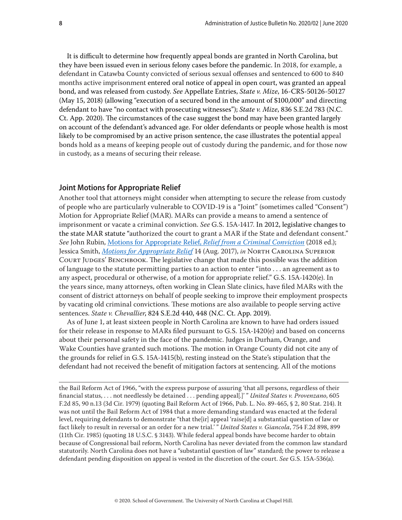<span id="page-7-0"></span>It is difficult to determine how frequently appeal bonds are granted in North Carolina, but they have been issued even in serious felony cases before the pandemic. In 2018, for example, a defendant in Catawba County convicted of serious sexual offenses and sentenced to 600 to 840 months active imprisonment entered oral notice of appeal in open court, was granted an appeal bond, and was released from custody. *See* Appellate Entries, *State v. Mize*, 16-CRS-50126-50127 (May 15, 2018) (allowing "execution of a secured bond in the amount of \$100,000" and directing defendant to have "no contact with prosecuting witnesses"); *State v. Mize*, 836 S.E.2d 783 (N.C. Ct. App. 2020). The circumstances of the case suggest the bond may have been granted largely on account of the defendant's advanced age. For older defendants or people whose health is most likely to be compromised by an active prison sentence, the case illustrates the potential appeal bonds hold as a means of keeping people out of custody during the pandemic, and for those now in custody, as a means of securing their release.

## **Joint Motions for Appropriate Relief**

Another tool that attorneys might consider when attempting to secure the release from custody of people who are particularly vulnerable to COVID-19 is a "Joint" (sometimes called "Consent") Motion for Appropriate Relief (MAR). MARs can provide a means to amend a sentence of imprisonment or vacate a criminal conviction. *See* G.S. 15A-1417. In 2012, legislative changes to the state MAR statute "authorized the court to grant a MAR if the State and defendant consent." *See* John Rubin, Motions for Appropriate Relief, *[Relief from a Criminal Conviction](https://www.sog.unc.edu/resources/microsites/relief-criminal-conviction/motions-appropriate-relief)* (2018 ed.); Jessica Smith, *[Motions for Appropriate Relief](https://benchbook.sog.unc.edu/criminal/motions-appropriate-relief)* 14 (Aug. 2017), *in* North Carolina Superior COURT JUDGES' BENCHBOOK. The legislative change that made this possible was the addition of language to the statute permitting parties to an action to enter "into . . . an agreement as to any aspect, procedural or otherwise, of a motion for appropriate relief." G.S. 15A-1420(e). In the years since, many attorneys, often working in Clean Slate clinics, have filed MARs with the consent of district attorneys on behalf of people seeking to improve their employment prospects by vacating old criminal convictions. These motions are also available to people serving active sentences. *State v. Chevallier*, 824 S.E.2d 440, 448 (N.C. Ct. App. 2019).

As of June 1, at least sixteen people in North Carolina are known to have had orders issued for their release in response to MARs filed pursuant to G.S. 15A-1420(e) and based on concerns about their personal safety in the face of the pandemic. Judges in Durham, Orange, and Wake Counties have granted such motions. The motion in Orange County did not cite any of the grounds for relief in G.S. 15A-1415(b), resting instead on the State's stipulation that the defendant had not received the benefit of mitigation factors at sentencing. All of the motions

the Bail Reform Act of 1966, "with the express purpose of assuring 'that all persons, regardless of their financial status, . . . not needlessly be detained . . . pending appeal[.]' " *United States v. Provenzano*, 605 F.2d 85, 90 n.13 (3d Cir. 1979) (quoting Bail Reform Act of 1966, Pub. L. No. 89-465, § 2, 80 Stat. 214). It was not until the Bail Reform Act of 1984 that a more demanding standard was enacted at the federal level, requiring defendants to demonstrate "that the[ir] appeal 'raise[d] a substantial question of law or fact likely to result in reversal or an order for a new trial.' " *United States v. Giancola*, 754 F.2d 898, 899 (11th Cir. 1985) (quoting 18 U.S.C. § 3143). While federal appeal bonds have become harder to obtain because of Congressional bail reform, North Carolina has never deviated from the common law standard statutorily. North Carolina does not have a "substantial question of law" standard; the power to release a defendant pending disposition on appeal is vested in the discretion of the court. *See* G.S. 15A-536(a).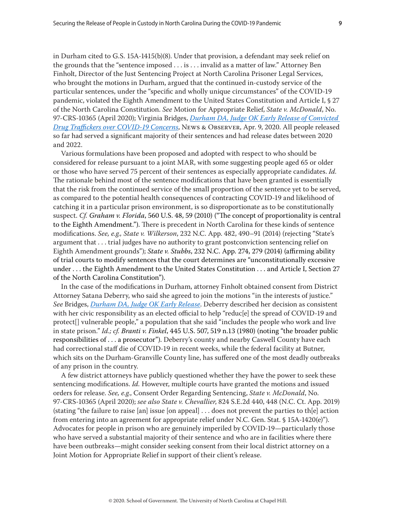in Durham cited to G.S. 15A-1415(b)(8). Under that provision, a defendant may seek relief on the grounds that the "sentence imposed . . . is . . . invalid as a matter of law." Attorney Ben Finholt, Director of the Just Sentencing Project at North Carolina Prisoner Legal Services, who brought the motions in Durham, argued that the continued in-custody service of the particular sentences, under the "specific and wholly unique circumstances" of the COVID-19 pandemic, violated the Eighth Amendment to the United States Constitution and Article I, § 27 of the North Carolina Constitution. *See* Motion for Appropriate Relief, *State v. McDonald*, No. 97-CRS-10365 (April 2020); Virginia Bridges, *[Durham DA, Judge OK Early Release of Convicted](https://www.newsobserver.com/news/local/counties/durham-county/article241865371.html)  [Drug Traffickers over COVID-19 Concerns](https://www.newsobserver.com/news/local/counties/durham-county/article241865371.html)*, News & Observer, Apr. 9, 2020. All people released so far had served a significant majority of their sentences and had release dates between 2020 and 2022.

Various formulations have been proposed and adopted with respect to who should be considered for release pursuant to a joint MAR, with some suggesting people aged 65 or older or those who have served 75 percent of their sentences as especially appropriate candidates. *Id.* The rationale behind most of the sentence modifications that have been granted is essentially that the risk from the continued service of the small proportion of the sentence yet to be served, as compared to the potential health consequences of contracting COVID-19 and likelihood of catching it in a particular prison environment, is so disproportionate as to be constitutionally suspect. *Cf. Graham v. Florida*, 560 U.S. 48, 59 (2010) ("The concept of proportionality is central to the Eighth Amendment."). There is precedent in North Carolina for these kinds of sentence modifications. *See, e.g., State v. Wilkerson*, 232 N.C. App. 482, 490–91 (2014) (rejecting "State's argument that . . . trial judges have no authority to grant postconviction sentencing relief on Eighth Amendment grounds"); *State v. Stubbs*, 232 N.C. App. 274, 279 (2014) (affirming ability of trial courts to modify sentences that the court determines are "unconstitutionally excessive under . . . the Eighth Amendment to the United States Constitution . . . and Article I, Section 27 of the North Carolina Constitution").

In the case of the modifications in Durham, attorney Finholt obtained consent from District Attorney Satana Deberry, who said she agreed to join the motions "in the interests of justice." *See* Bridges, *[Durham DA, Judge OK Early Release](https://www.newsobserver.com/news/local/counties/durham-county/article241865371.html)*. Deberry described her decision as consistent with her civic responsibility as an elected official to help "reduc[e] the spread of COVID-19 and protect[] vulnerable people," a population that she said "includes the people who work and live in state prison." *Id.; cf. Branti v. Finkel*, 445 U.S. 507, 519 n.13 (1980) (noting "the broader public responsibilities of . . . a prosecutor"). Deberry's county and nearby Caswell County have each had correctional staff die of COVID-19 in recent weeks, while the federal facility at Butner, which sits on the Durham-Granville County line, has suffered one of the most deadly outbreaks of any prison in the country.

A few district attorneys have publicly questioned whether they have the power to seek these sentencing modifications. *Id.* However, multiple courts have granted the motions and issued orders for release. *See, e.g.*, Consent Order Regarding Sentencing, *State v. McDonald*, No. 97-CRS-10365 (April 2020); *see also State v. Chevallier*, 824 S.E.2d 440, 448 (N.C. Ct. App. 2019) (stating "the failure to raise [an] issue [on appeal]  $\dots$  does not prevent the parties to th[e] action from entering into an agreement for appropriate relief under N.C. Gen. Stat. § 15A-1420(e)"). Advocates for people in prison who are genuinely imperiled by COVID-19—particularly those who have served a substantial majority of their sentence and who are in facilities where there have been outbreaks—might consider seeking consent from their local district attorney on a Joint Motion for Appropriate Relief in support of their client's release.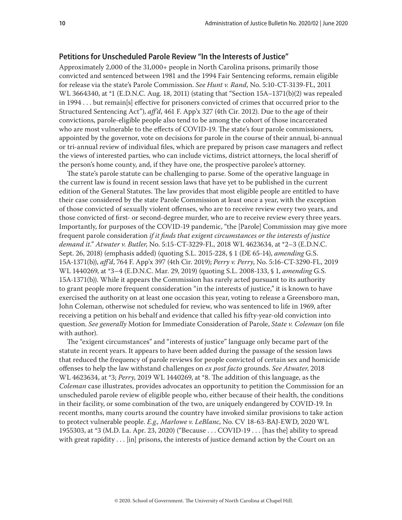## <span id="page-9-0"></span>**Petitions for Unscheduled Parole Review "In the Interests of Justice"**

Approximately 2,000 of the 31,000+ people in North Carolina prisons, primarily those convicted and sentenced between 1981 and the 1994 Fair Sentencing reforms, remain eligible for release via the state's Parole Commission. *See Hunt v. Rand*, No. 5:10-CT-3139-FL, 2011 WL 3664340, at \*1 (E.D.N.C. Aug. 18, 2011) (stating that "Section 15A–1371(b)(2) was repealed in 1994 . . . but remain[s] effective for prisoners convicted of crimes that occurred prior to the Structured Sentencing Act"), *aff'd*, 461 F. App'x 327 (4th Cir. 2012). Due to the age of their convictions, parole-eligible people also tend to be among the cohort of those incarcerated who are most vulnerable to the effects of COVID-19. The state's four parole commissioners, appointed by the governor, vote on decisions for parole in the course of their annual, bi-annual or tri-annual review of individual files, which are prepared by prison case managers and reflect the views of interested parties, who can include victims, district attorneys, the local sheriff of the person's home county, and, if they have one, the prospective parolee's attorney.

The state's parole statute can be challenging to parse. Some of the operative language in the current law is found in recent session laws that have yet to be published in the current edition of the General Statutes. The law provides that most eligible people are entitled to have their case considered by the state Parole Commission at least once a year, with the exception of those convicted of sexually violent offenses, who are to receive review every two years, and those convicted of first- or second-degree murder, who are to receive review every three years. Importantly, for purposes of the COVID-19 pandemic, "the [Parole] Commission may give more frequent parole consideration *if it finds that exigent circumstances or the interests of justice demand it*." *Atwater v. Butler*, No. 5:15-CT-3229-FL, 2018 WL 4623634, at \*2–3 (E.D.N.C. Sept. 26, 2018) (emphasis added) (quoting S.L. 2015-228, § 1 (DE 65-14), *amending* G.S. 15A-1371(b)), *aff'd*, 764 F. App'x 397 (4th Cir. 2019); *Perry v. Perry*, No. 5:16-CT-3290-FL, 2019 WL 1440269, at \*3–4 (E.D.N.C. Mar. 29, 2019) (quoting S.L. 2008-133, § 1, *amending* G.S. 15A-1371(b)). While it appears the Commission has rarely acted pursuant to its authority to grant people more frequent consideration "in the interests of justice," it is known to have exercised the authority on at least one occasion this year, voting to release a Greensboro man, John Coleman, otherwise not scheduled for review, who was sentenced to life in 1969, after receiving a petition on his behalf and evidence that called his fifty-year-old conviction into question. *See generally* Motion for Immediate Consideration of Parole, *State v. Coleman* (on file with author).

The "exigent circumstances" and "interests of justice" language only became part of the statute in recent years. It appears to have been added during the passage of the session laws that reduced the frequency of parole reviews for people convicted of certain sex and homicide offenses to help the law withstand challenges on *ex post facto* grounds. *See Atwater*, 2018 WL 4623634, at \*3; *Perry*, 2019 WL 1440269, at \*8. The addition of this language, as the *Coleman* case illustrates, provides advocates an opportunity to petition the Commission for an unscheduled parole review of eligible people who, either because of their health, the conditions in their facility, or some combination of the two, are uniquely endangered by COVID-19. In recent months, many courts around the country have invoked similar provisions to take action to protect vulnerable people. *E.g., Marlowe v. LeBlanc*, No. CV 18-63-BAJ-EWD, 2020 WL 1955303, at \*3 (M.D. La. Apr. 23, 2020) ("Because . . . COVID-19 . . . [has the] ability to spread with great rapidity . . . [in] prisons, the interests of justice demand action by the Court on an